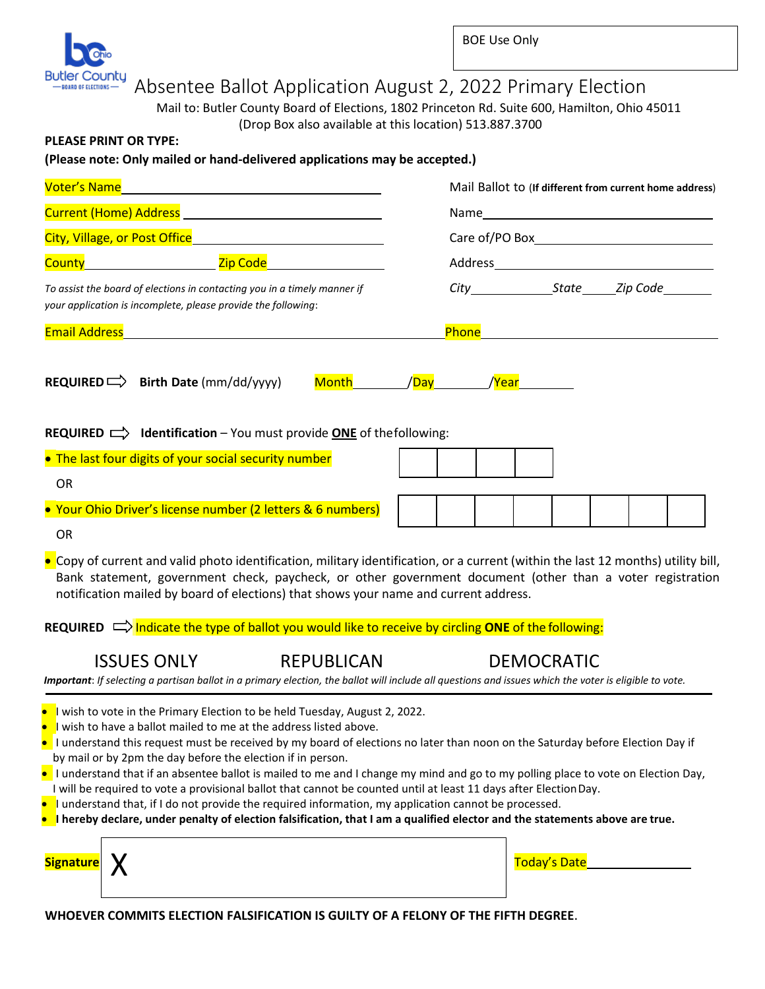

### Absentee Ballot Application August 2, 2022 Primary Election

Mail to: Butler County Board of Elections, 1802 Princeton Rd. Suite 600, Hamilton, Ohio 45011 (Drop Box also available at this location) 513.887.3700

#### **PLEASE PRINT OR TYPE:**

#### **(Please note: Only mailed or hand-delivered applications may be accepted.)**

| <b>Voter's Name</b><br>Current (Home) Address <b>Current Community</b> Current Community Current Current Current Current Current Current Curr |                                                                                                                                                                                                                                                                                                                                                                                                                                                                                                                                                                                                                                                                                                                                                                                                                                                                       |                    |  |  |  |                   |              |  |  | Mail Ballot to (If different from current home address) |  |
|-----------------------------------------------------------------------------------------------------------------------------------------------|-----------------------------------------------------------------------------------------------------------------------------------------------------------------------------------------------------------------------------------------------------------------------------------------------------------------------------------------------------------------------------------------------------------------------------------------------------------------------------------------------------------------------------------------------------------------------------------------------------------------------------------------------------------------------------------------------------------------------------------------------------------------------------------------------------------------------------------------------------------------------|--------------------|--|--|--|-------------------|--------------|--|--|---------------------------------------------------------|--|
|                                                                                                                                               |                                                                                                                                                                                                                                                                                                                                                                                                                                                                                                                                                                                                                                                                                                                                                                                                                                                                       |                    |  |  |  |                   |              |  |  |                                                         |  |
| City, Village, or Post Office <b>Communist City</b> , Village, or                                                                             |                                                                                                                                                                                                                                                                                                                                                                                                                                                                                                                                                                                                                                                                                                                                                                                                                                                                       |                    |  |  |  |                   |              |  |  |                                                         |  |
| <b>County County Contract Contract County Zip Code</b>                                                                                        |                                                                                                                                                                                                                                                                                                                                                                                                                                                                                                                                                                                                                                                                                                                                                                                                                                                                       |                    |  |  |  |                   |              |  |  |                                                         |  |
| To assist the board of elections in contacting you in a timely manner if<br>your application is incomplete, please provide the following:     |                                                                                                                                                                                                                                                                                                                                                                                                                                                                                                                                                                                                                                                                                                                                                                                                                                                                       |                    |  |  |  |                   |              |  |  |                                                         |  |
| <b>Email Address Exercísion Construction Construction Construction Construction Construction Construction Construction</b>                    |                                                                                                                                                                                                                                                                                                                                                                                                                                                                                                                                                                                                                                                                                                                                                                                                                                                                       |                    |  |  |  |                   |              |  |  |                                                         |  |
|                                                                                                                                               | REQUIRED $\Longrightarrow$ Birth Date (mm/dd/yyyy)                                                                                                                                                                                                                                                                                                                                                                                                                                                                                                                                                                                                                                                                                                                                                                                                                    | Month / Day / Year |  |  |  |                   |              |  |  |                                                         |  |
|                                                                                                                                               | <b>REQUIRED</b> $\implies$ <b>Identification</b> – You must provide <b>ONE</b> of the following:                                                                                                                                                                                                                                                                                                                                                                                                                                                                                                                                                                                                                                                                                                                                                                      |                    |  |  |  |                   |              |  |  |                                                         |  |
| • The last four digits of your social security number                                                                                         |                                                                                                                                                                                                                                                                                                                                                                                                                                                                                                                                                                                                                                                                                                                                                                                                                                                                       |                    |  |  |  |                   |              |  |  |                                                         |  |
| <b>OR</b>                                                                                                                                     |                                                                                                                                                                                                                                                                                                                                                                                                                                                                                                                                                                                                                                                                                                                                                                                                                                                                       |                    |  |  |  |                   |              |  |  |                                                         |  |
|                                                                                                                                               | • Your Ohio Driver's license number (2 letters & 6 numbers)                                                                                                                                                                                                                                                                                                                                                                                                                                                                                                                                                                                                                                                                                                                                                                                                           |                    |  |  |  |                   |              |  |  |                                                         |  |
| <b>OR</b>                                                                                                                                     |                                                                                                                                                                                                                                                                                                                                                                                                                                                                                                                                                                                                                                                                                                                                                                                                                                                                       |                    |  |  |  |                   |              |  |  |                                                         |  |
|                                                                                                                                               | • Copy of current and valid photo identification, military identification, or a current (within the last 12 months) utility bill,<br>Bank statement, government check, paycheck, or other government document (other than a voter registration<br>notification mailed by board of elections) that shows your name and current address.                                                                                                                                                                                                                                                                                                                                                                                                                                                                                                                                |                    |  |  |  |                   |              |  |  |                                                         |  |
|                                                                                                                                               | REQUIRED $\Rightarrow$ Indicate the type of ballot you would like to receive by circling ONE of the following:                                                                                                                                                                                                                                                                                                                                                                                                                                                                                                                                                                                                                                                                                                                                                        |                    |  |  |  |                   |              |  |  |                                                         |  |
|                                                                                                                                               | <b>ISSUES ONLY</b><br><b>REPUBLICAN</b><br>Important: If selecting a partisan ballot in a primary election, the ballot will include all questions and issues which the voter is eligible to vote.                                                                                                                                                                                                                                                                                                                                                                                                                                                                                                                                                                                                                                                                     |                    |  |  |  | <b>DEMOCRATIC</b> |              |  |  |                                                         |  |
| <b>Signature</b> X                                                                                                                            | • I wish to vote in the Primary Election to be held Tuesday, August 2, 2022.<br>l wish to have a ballot mailed to me at the address listed above.<br>I understand this request must be received by my board of elections no later than noon on the Saturday before Election Day if<br>by mail or by 2pm the day before the election if in person.<br>I understand that if an absentee ballot is mailed to me and I change my mind and go to my polling place to vote on Election Day,<br>I will be required to vote a provisional ballot that cannot be counted until at least 11 days after Election Day.<br>$\bullet$ I understand that, if I do not provide the required information, my application cannot be processed.<br>$\bullet$ I hereby declare, under penalty of election falsification, that I am a qualified elector and the statements above are true. |                    |  |  |  |                   | Today's Date |  |  |                                                         |  |
|                                                                                                                                               |                                                                                                                                                                                                                                                                                                                                                                                                                                                                                                                                                                                                                                                                                                                                                                                                                                                                       |                    |  |  |  |                   |              |  |  |                                                         |  |

**WHOEVER COMMITS ELECTION FALSIFICATION IS GUILTY OF A FELONY OF THE FIFTH DEGREE**.